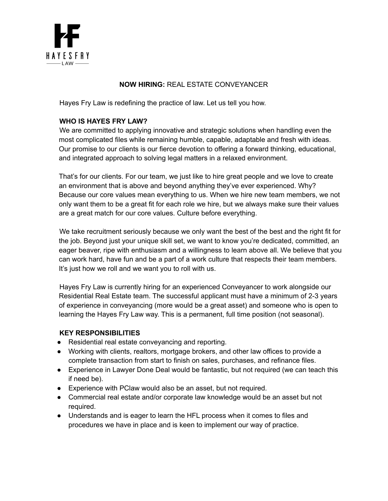

## **NOW HIRING:** REAL ESTATE CONVEYANCER

Hayes Fry Law is redefining the practice of law. Let us tell you how.

### **WHO IS HAYES FRY LAW?**

We are committed to applying innovative and strategic solutions when handling even the most complicated files while remaining humble, capable, adaptable and fresh with ideas. Our promise to our clients is our fierce devotion to offering a forward thinking, educational, and integrated approach to solving legal matters in a relaxed environment.

That's for our clients. For our team, we just like to hire great people and we love to create an environment that is above and beyond anything they've ever experienced. Why? Because our core values mean everything to us. When we hire new team members, we not only want them to be a great fit for each role we hire, but we always make sure their values are a great match for our core values. Culture before everything.

We take recruitment seriously because we only want the best of the best and the right fit for the job. Beyond just your unique skill set, we want to know you're dedicated, committed, an eager beaver, ripe with enthusiasm and a willingness to learn above all. We believe that you can work hard, have fun and be a part of a work culture that respects their team members. It's just how we roll and we want you to roll with us.

Hayes Fry Law is currently hiring for an experienced Conveyancer to work alongside our Residential Real Estate team. The successful applicant must have a minimum of 2-3 years of experience in conveyancing (more would be a great asset) and someone who is open to learning the Hayes Fry Law way. This is a permanent, full time position (not seasonal).

#### **KEY RESPONSIBILITIES**

- Residential real estate conveyancing and reporting.
- Working with clients, realtors, mortgage brokers, and other law offices to provide a complete transaction from start to finish on sales, purchases, and refinance files.
- Experience in Lawyer Done Deal would be fantastic, but not required (we can teach this if need be).
- Experience with PClaw would also be an asset, but not required.
- Commercial real estate and/or corporate law knowledge would be an asset but not required.
- Understands and is eager to learn the HFL process when it comes to files and procedures we have in place and is keen to implement our way of practice.